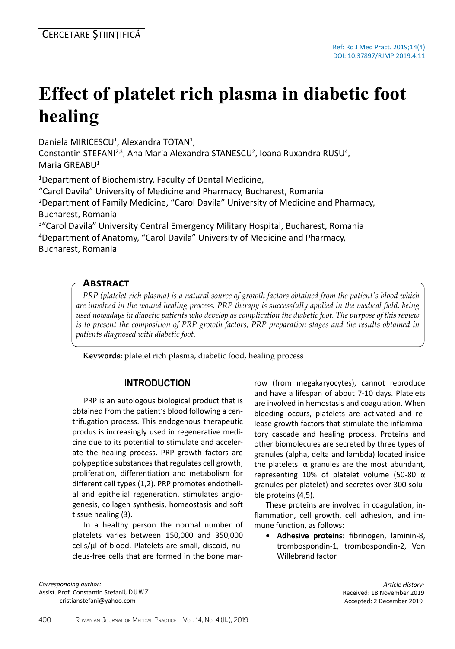# **Effect of platelet rich plasma in diabetic foot healing**

Daniela MIRICESCU<sup>1</sup>, Alexandra TOTAN<sup>1</sup>,

Constantin STEFANI<sup>2,3</sup>, Ana Maria Alexandra STANESCU<sup>2</sup>, Ioana Ruxandra RUSU<sup>4</sup>, Maria GREABU<sup>1</sup>

<sup>1</sup>Department of Biochemistry, Faculty of Dental Medicine,

"Carol Davila" University of Medicine and Pharmacy, Bucharest, Romania <sup>2</sup>Department of Family Medicine, "Carol Davila" University of Medicine and Pharmacy, Bucharest, Romania

<sup>3</sup>"Carol Davila" University Central Emergency Military Hospital, Bucharest, Romania <sup>4</sup>Department of Anatomy, "Carol Davila" University of Medicine and Pharmacy, Bucharest, Romania

## **Abstract**

*PRP (platelet rich plasma) is a natural source of growth factors obtained from the patient's blood which are involved in the wound healing process. PRP therapy is successfully applied in the medical field, being used nowadays in diabetic patients who develop as complication the diabetic foot. The purpose of this review is to present the composition of PRP growth factors, PRP preparation stages and the results obtained in patients diagnosed with diabetic foot.*

**Keywords:** platelet rich plasma, diabetic food, healing process

## **Introduction**

PRP is an autologous biological product that is obtained from the patient's blood following a centrifugation process. This endogenous therapeutic produs is increasingly used in regenerative medicine due to its potential to stimulate and accelerate the healing process. PRP growth factors are polypeptide substances that regulates cell growth, proliferation, differentiation and metabolism for different cell types (1,2). PRP promotes endothelial and epithelial regeneration, stimulates angiogenesis, collagen synthesis, homeostasis and soft tissue healing (3).

In a healthy person the normal number of platelets varies between 150,000 and 350,000 cells/µl of blood. Platelets are small, discoid, nucleus-free cells that are formed in the bone mar-

*Corresponding author:*  Assist. Prof. Constantin Stefani, MD, PhD E-mail: cristianstefani@yahoo.com

row (from megakaryocytes), cannot reproduce and have a lifespan of about 7-10 days. Platelets are involved in hemostasis and coagulation. When bleeding occurs, platelets are activated and release growth factors that stimulate the inflammatory cascade and healing process. Proteins and other biomolecules are secreted by three types of granules (alpha, delta and lambda) located inside the platelets. α granules are the most abundant, representing 10% of platelet volume (50-80 α granules per platelet) and secretes over 300 soluble proteins (4,5).

These proteins are involved in coagulation, inflammation, cell growth, cell adhesion, and immune function, as follows:

**• Adhesive proteins**: fibrinogen, laminin-8, trombospondin-1, trombospondin-2, Von Willebrand factor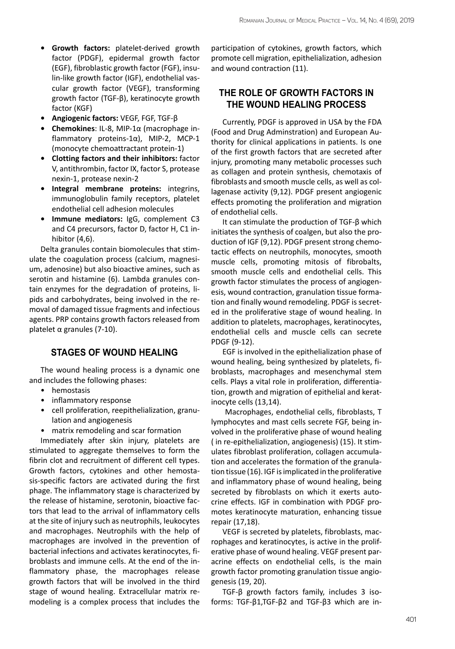- **• Growth factors:** platelet-derived growth factor (PDGF), epidermal growth factor (EGF), fibroblastic growth factor (FGF), insulin-like growth factor (IGF), endothelial vascular growth factor (VEGF), transforming growth factor (TGF-β), keratinocyte growth factor (KGF)
- **Angiogenic factors:** VEGF, FGF, TGF-β
- **Chemokines**: IL-8, MIP-1α (macrophage inflammatory proteins-1α), MIP-2, MCP-1 (monocyte chemoattractant protein-1)
- **Clotting factors and their inhibitors:** factor V, antithrombin, factor IX, factor S, protease nexin-1, protease nexin-2
- **Integral membrane proteins:** integrins, immunoglobulin family receptors, platelet endothelial cell adhesion molecules
- **Immune mediators:** IgG, complement C3 and C4 precursors, factor D, factor H, C1 inhibitor (4,6).

Delta granules contain biomolecules that stimulate the coagulation process (calcium, magnesium, adenosine) but also bioactive amines, such as serotin and histamine (6). Lambda granules contain enzymes for the degradation of proteins, lipids and carbohydrates, being involved in the removal of damaged tissue fragments and infectious agents. PRP contains growth factors released from platelet α granules (7-10).

### **Stages of wound healing**

The wound healing process is a dynamic one and includes the following phases:

- hemostasis
- inflammatory response
- cell proliferation, reepithelialization, granulation and angiogenesis
- matrix remodeling and scar formation

Immediately after skin injury, platelets are stimulated to aggregate themselves to form the fibrin clot and recruitment of different cell types. Growth factors, cytokines and other hemostasis-specific factors are activated during the first phage. The inflammatory stage is characterized by the release of histamine, serotonin, bioactive factors that lead to the arrival of inflammatory cells at the site of injury such as neutrophils, leukocytes and macrophages. Neutrophils with the help of macrophages are involved in the prevention of bacterial infections and activates keratinocytes, fibroblasts and immune cells. At the end of the inflammatory phase, the macrophages release growth factors that will be involved in the third stage of wound healing. Extracellular matrix remodeling is a complex process that includes the

participation of cytokines, growth factors, which promote cell migration, epithelialization, adhesion and wound contraction (11).

## **The role of growth factors in the wound healing process**

Currently, PDGF is approved in USA by the FDA (Food and Drug Adminstration) and European Authority for clinical applications in patients. Is one of the first growth factors that are secreted after injury, promoting many metabolic processes such as collagen and protein synthesis, chemotaxis of fibroblasts and smooth muscle cells, as well as collagenase activity (9,12). PDGF present angiogenic effects promoting the proliferation and migration of endothelial cells.

It can stimulate the production of TGF-β which initiates the synthesis of coalgen, but also the production of IGF (9,12). PDGF present strong chemotactic effects on neutrophils, monocytes, smooth muscle cells, promoting mitosis of fibrobalts, smooth muscle cells and endothelial cells. This growth factor stimulates the process of angiogenesis, wound contraction, granulation tissue formation and finally wound remodeling. PDGF is secreted in the proliferative stage of wound healing. In addition to platelets, macrophages, keratinocytes, endothelial cells and muscle cells can secrete PDGF (9-12).

EGF is involved in the epithelialization phase of wound healing, being synthesized by platelets, fibroblasts, macrophages and mesenchymal stem cells. Plays a vital role in proliferation, differentiation, growth and migration of epithelial and keratinocyte cells (13,14).

 Macrophages, endothelial cells, fibroblasts, T lymphocytes and mast cells secrete FGF, being involved in the proliferative phase of wound healing ( in re-epithelialization, angiogenesis) (15). It stimulates fibroblast proliferation, collagen accumulation and accelerates the formation of the granulation tissue (16). IGF is implicated in the proliferative and inflammatory phase of wound healing, being secreted by fibroblasts on which it exerts autocrine effects. IGF in combination with PDGF promotes keratinocyte maturation, enhancing tissue repair (17,18).

VEGF is secreted by platelets, fibroblasts, macrophages and keratinocytes, is active in the proliferative phase of wound healing. VEGF present paracrine effects on endothelial cells, is the main growth factor promoting granulation tissue angiogenesis (19, 20).

TGF-β growth factors family, includes 3 isoforms: TGF-β1,TGF-β2 and TGF-β3 which are in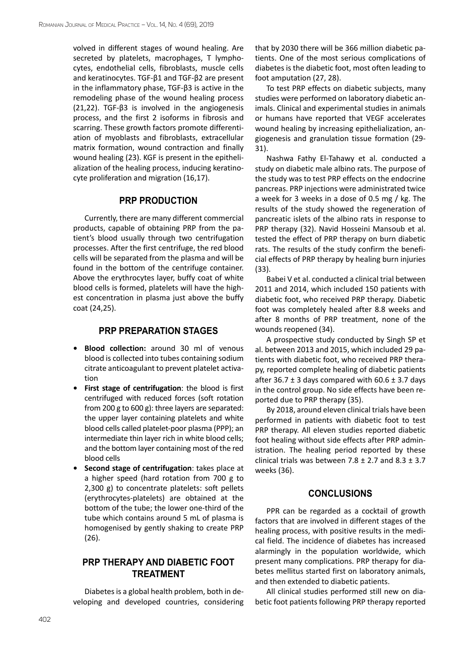volved in different stages of wound healing. Are secreted by platelets, macrophages, T lymphocytes, endothelial cells, fibroblasts, muscle cells and keratinocytes. TGF-β1 and TGF-β2 are present in the inflammatory phase, TGF-β3 is active in the remodeling phase of the wound healing process (21,22). TGF- $\beta$ 3 is involved in the angiogenesis process, and the first 2 isoforms in fibrosis and scarring. These growth factors promote differentiation of myoblasts and fibroblasts, extracellular matrix formation, wound contraction and finally wound healing (23). KGF is present in the epithelialization of the healing process, inducing keratinocyte proliferation and migration (16,17).

#### **PRP production**

Currently, there are many different commercial products, capable of obtaining PRP from the patient's blood usually through two centrifugation processes. After the first centrifuge, the red blood cells will be separated from the plasma and will be found in the bottom of the centrifuge container. Above the erythrocytes layer, buffy coat of white blood cells is formed, platelets will have the highest concentration in plasma just above the buffy coat (24,25).

#### **PRP preparation stages**

- **Blood collection:** around 30 ml of venous blood is collected into tubes containing sodium citrate anticoagulant to prevent platelet activation
- **First stage of centrifugation**: the blood is first centrifuged with reduced forces (soft rotation from 200 g to 600 g): three layers are separated: the upper layer containing platelets and white blood cells called platelet-poor plasma (PPP); an intermediate thin layer rich in white blood cells; and the bottom layer containing most of the red blood cells
- **Second stage of centrifugation**: takes place at a higher speed (hard rotation from 700 g to 2,300 g) to concentrate platelets: soft pellets (erythrocytes-platelets) are obtained at the bottom of the tube; the lower one-third of the tube which contains around 5 mL of plasma is homogenised by gently shaking to create PRP (26).

## **PRP therapy and diabetic foot treatment**

Diabetes is a global health problem, both in developing and developed countries, considering that by 2030 there will be 366 million diabetic patients. One of the most serious complications of diabetes is the diabetic foot, most often leading to foot amputation (27, 28).

To test PRP effects on diabetic subjects, many studies were performed on laboratory diabetic animals. Clinical and experimental studies in animals or humans have reported that VEGF accelerates wound healing by increasing epithelialization, angiogenesis and granulation tissue formation (29- 31).

Nashwa Fathy El-Tahawy et al. conducted a study on diabetic male albino rats. The purpose of the study was to test PRP effects on the endocrine pancreas. PRP injections were administrated twice a week for 3 weeks in a dose of 0.5 mg / kg. The results of the study showed the regeneration of pancreatic islets of the albino rats in response to PRP therapy (32). Navid Hosseini Mansoub et al. tested the effect of PRP therapy on burn diabetic rats. The results of the study confirm the beneficial effects of PRP therapy by healing burn injuries (33).

Babei V et al. conducted a clinical trial between 2011 and 2014, which included 150 patients with diabetic foot, who received PRP therapy. Diabetic foot was completely healed after 8.8 weeks and after 8 months of PRP treatment, none of the wounds reopened (34).

A prospective study conducted by Singh SP et al. between 2013 and 2015, which included 29 patients with diabetic foot, who received PRP therapy, reported complete healing of diabetic patients after 36.7  $\pm$  3 days compared with 60.6  $\pm$  3.7 days in the control group. No side effects have been reported due to PRP therapy (35).

By 2018, around eleven clinical trials have been performed in patients with diabetic foot to test PRP therapy. All eleven studies reported diabetic foot healing without side effects after PRP administration. The healing period reported by these clinical trials was between 7.8  $\pm$  2.7 and 8.3  $\pm$  3.7 weeks (36).

## **Conclusions**

PPR can be regarded as a cocktail of growth factors that are involved in different stages of the healing process, with positive results in the medical field. The incidence of diabetes has increased alarmingly in the population worldwide, which present many complications. PRP therapy for diabetes mellitus started first on laboratory animals, and then extended to diabetic patients.

All clinical studies performed still new on diabetic foot patients following PRP therapy reported